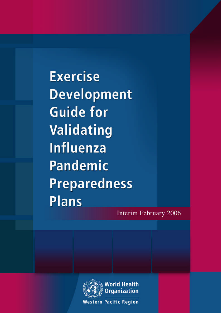**Exercise Development Guide for** Validating **Influenza Pandemic Preparedness Plans** 

Interim February 2006



**Western Pacific Region**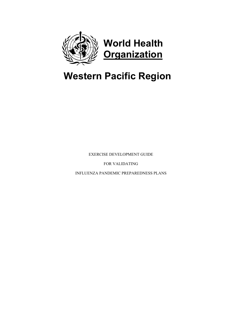

# **Western Pacific Region**

EXERCISE DEVELOPMENT GUIDE

FOR VALIDATING

INFLUENZA PANDEMIC PREPAREDNESS PLANS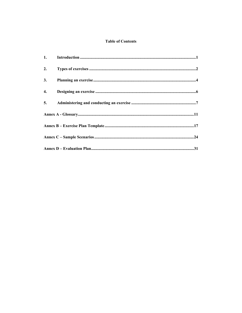## **Table of Contents**

| 1. |  |  |
|----|--|--|
| 2. |  |  |
| 3. |  |  |
| 4. |  |  |
| 5. |  |  |
|    |  |  |
|    |  |  |
|    |  |  |
|    |  |  |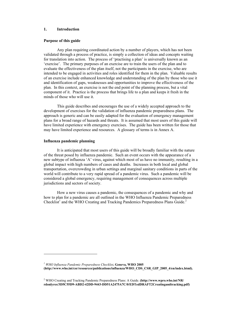## **1. Introduction**

## **Purpose of this guide**

 Any plan requiring coordinated action by a number of players, which has not been validated through a process of practice, is simply a collection of ideas and concepts waiting for translation into action. The process of 'practising a plan' is universally known as an 'exercise'. The primary purposes of an exercise are to train the users of the plan and to evaluate the effectiveness of the plan itself, not the participants in the exercise, who are intended to be engaged in activities and roles identified for them in the plan. Valuable results of an exercise include enhanced knowledge and understanding of the plan by those who use it and identification of gaps, weaknesses and opportunities to improve the effectiveness of the plan. In this context, an exercise is not the end point of the planning process, but a vital component of it. Practice is the process that brings life to a plan and keeps it fresh in the minds of those who will use it.

 This guide describes and encourages the use of a widely accepted approach to the development of exercises for the validation of influenza pandemic preparedness plans. The approach is generic and can be easily adapted for the evaluation of emergency management plans for a broad range of hazards and threats. It is assumed that most users of this guide will have limited experience with emergency exercises. The guide has been written for those that may have limited experience and resources. A glossary of terms is in Annex A.

## **Influenza pandemic planning**

 $\overline{a}$ 

 It is anticipated that most users of this guide will be broadly familiar with the nature of the threat posed by influenza pandemic. Such an event occurs with the appearance of a new subtype of influenza 'A' virus, against which most of us have no immunity, resulting in a global impact with high numbers of cases and deaths. Increases in both local and global transportation, overcrowding in urban settings and marginal sanitary conditions in parts of the world will contribute to a very rapid spread of a pandemic virus. Such a pandemic will be considered a global emergency, requiring management of consequences across multiple jurisdictions and sectors of society.

 How a new virus causes a pandemic, the consequences of a pandemic and why and how to plan for a pandemic are all outlined in the WHO Influenza Pandemic Preparedness Checklist<sup>1</sup> and the WHO Creating and Tracking Pandemics Preparedness Plans Guide.<sup>2</sup>

*1 WHO Influenza Pandemic Preparedness Checklist***. Geneva, WHO 2005 (http://www.who.int/csr/resources/publications/influenza/WHO\_CDS\_CSR\_GIP\_2005\_4/en/index.html).** 

<sup>&</sup>lt;sup>2</sup> WHO Creating and Tracking Pandemic Preparedness Plans: A Guide. (http://www.wpro.who.int/NR/ **rdonlyres/3D5C55D9-ABD2-42DD-9443-DD51A2475A7C/0/EDTedDRAFT2Creatingandtracking.pdf)**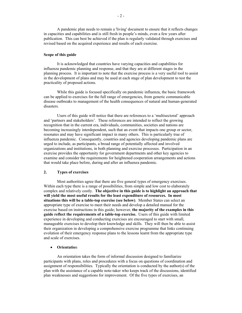A pandemic plan needs to remain a 'living' document to ensure that it reflects changes in capacities and capabilities and is still fresh in people's minds, even a few years after publication. This can best be achieved if the plan is regularly validated through exercises and revised based on the acquired experience and results of each exercise.

## **Scope of this guide**

 It is acknowledged that countries have varying capacities and capabilities for influenza pandemic planning and response, and that they are at different stages in the planning process. It is important to note that the exercise process is a very useful tool to assist in the development of plans and may be used at each stage of plan development to test the practicality of proposed actions.

 While this guide is focused specifically on pandemic influenza, the basic framework can be applied to exercises for the full range of emergencies, from generic communicable disease outbreaks to management of the health consequences of natural and human-generated disasters.

 Users of this guide will notice that there are references to a 'multisectoral' approach and 'partners and stakeholders'. These references are intended to reflect the growing recognition that in the current era, individuals, communities, societies and nations are becoming increasingly interdependent, such that an event that impacts one group or sector, resonates and may have significant impact in many others. This is particularly true of influenza pandemic. Consequently, countries and agencies developing pandemic plans are urged to include, as participants, a broad range of potentially affected and involved organizations and institutions, in both planning and exercise processes. Participation in an exercise provides the opportunity for government departments and other key agencies to examine and consider the requirements for heightened cooperation arrangements and actions that would take place before, during and after an influenza pandemic.

#### **2. Types of exercises**

 Most authorities agree that there are five general types of emergency exercises. Within each type there is a range of possibilities, from simple and low cost to elaborately complex and relatively costly. **The objective in this guide is to highlight an approach that will yield the most useful results for the least expenditure of resources. In most situations this will be a table-top exercise (see below)**. Member States can select an appropriate type of exercise to meet their needs and develop a detailed manual for the exercise based on instructions in this guide; however, **the majority of the examples in this guide reflect the requirements of a table-top exercise.** Users of this guide with limited experience in developing and conducting exercises are encouraged to start with small, manageable exercises to develop their knowledge and skills. They will then be able to assist their organization in developing a comprehensive exercise programme that links continuing evolution of their emergency response plans to the lessons learnt from the appropriate type and scale of exercises.

#### • **Orientatio**n

 An orientation takes the form of informal discussion designed to familiarize participants with plans, roles and procedures with a focus on questions of coordination and assignment of responsibilities. Typically the orientation is conducted by the author(s) of the plan with the assistance of a capable note-taker who keeps track of the discussions, identified plan weaknesses and suggestions for improvement. Of the five types of exercises, an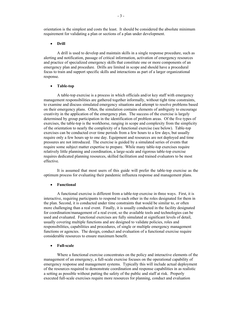orientation is the simplest and costs the least. It should be considered the absolute minimum requirement for validating a plan or sections of a plan under development.

#### • **Drill**

 A drill is used to develop and maintain skills in a single response procedure, such as alerting and notification, passage of critical information, activation of emergency resources and practice of specialized emergency skills that constitute one or more components of an emergency plan and procedure. Drills are limited in scope and should have a procedural focus to train and support specific skills and interactions as part of a larger organizational response.

#### • **Table-top**

 A table-top exercise is a process in which officials and/or key staff with emergency management responsibilities are gathered together informally, without tight time constraints, to examine and discuss simulated emergency situations and attempt to resolve problems based on their emergency plans. Often, the simulation contains elements of ambiguity to encourage creativity in the application of the emergency plan. The success of the exercise is largely determined by group participation in the identification of problem areas. Of the five types of exercises, the table-top is the workhorse, ranging in scope and complexity from the simplicity of the orientation to nearly the complexity of a functional exercise (see below). Table-top exercises can be conducted over time periods from a few hours to a few days, but usually require only a few hours up to one day. Equipment and resources are not deployed and time pressures are not introduced. The exercise is guided by a simulated series of events that require some subject matter expertise to prepare. While many table-top exercises require relatively little planning and coordination, a large-scale and rigorous table-top exercise requires dedicated planning resources, skilled facilitation and trained evaluators to be most effective.

 It is assumed that most users of this guide will prefer the table-top exercise as the optimum process for evaluating their pandemic influenza response and management plans.

## • **Functional**

 A functional exercise is different from a table-top exercise in three ways. First, it is interactive, requiring participants to respond to each other in the roles designated for them in the plan. Second, it is conducted under time constraints that would be similar to, or often more challenging than a real event. Finally, it is usually conducted in the facility designated for coordination/management of a real event, so the available tools and technologies can be used and evaluated. Functional exercises are fully simulated at significant levels of detail, usually covering multiple functions and are designed to validate policies, roles and responsibilities, capabilities and procedures, of single or multiple emergency management functions or agencies. The design, conduct and evaluation of a functional exercise require considerable resources to ensure maximum benefit.

## • **Full-scale**

 Where a functional exercise concentrates on the policy and interactive elements of the management of an emergency, a full-scale exercise focuses on the operational capability of emergency response and management systems. Typically this will include actual deployment of the resources required to demonstrate coordination and response capabilities in as realistic a setting as possible without putting the safety of the public and staff at risk. Properly executed full-scale exercises require more resources for planning, conduct and evaluation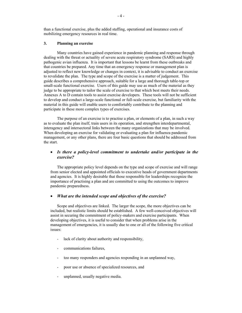than a functional exercise, plus the added staffing, operational and insurance costs of mobilizing emergency resources in real time.

## **3. Planning an exercise**

 Many countries have gained experience in pandemic planning and response through dealing with the threat or actuality of severe acute respiratory syndrome (SARS) and highly pathogenic avian influenza. It is important that lessons be learnt from these outbreaks and that countries be prepared. Any time that an emergency response or management plan is adjusted to reflect new knowledge or changes in context, it is advisable to conduct an exercise to revalidate the plan. The type and scope of the exercise is a matter of judgement. This guide describes a comprehensive approach, suitable for a large and thorough table-top or small-scale functional exercise. Users of this guide may use as much of the material as they judge to be appropriate to tailor the scale of exercise to that which best meets their needs. Annexes A to D contain tools to assist exercise developers. These tools will not be sufficient to develop and conduct a large-scale functional or full-scale exercise, but familiarity with the material in this guide will enable users to comfortably contribute to the planning and participate in these more complex types of exercises.

 The purpose of an exercise is to practise a plan, or elements of a plan, in such a way as to evaluate the plan itself, train users in its operation, and strengthen interdepartmental, interagency and intersectoral links between the many organizations that may be involved. When developing an exercise for validating or evaluating a plan for influenza pandemic management, or any other plans, there are four basic questions that should be addressed from the start.

## • *Is there a policy-level commitment to undertake and/or participate in the exercise?*

 The appropriate policy level depends on the type and scope of exercise and will range from senior elected and appointed officials to executive heads of government departments and agencies. It is highly desirable that those responsible for leaderships recognize the importance of practising a plan and are committed to using the outcomes to improve pandemic preparedness.

## • *What are the intended scope and objectives of the exercise?*

 Scope and objectives are linked. The larger the scope, the more objectives can be included, but realistic limits should be established. A few well-conceived objectives will assist in securing the commitment of policy-makers and exercise participants. When developing objectives, it is useful to consider that when problems arise in the management of emergencies, it is usually due to one or all of the following five critical issues:

- lack of clarity about authority and responsibility,
- communications failures,
- too many responders and agencies responding in an unplanned way,
- poor use or absence of specialized resources, and
- unplanned, usually negative media.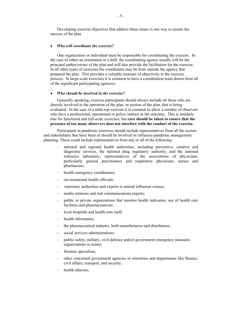Developing exercise objectives that address these issues is one way to ensure the success of the plan.

#### • *Who will coordinate the exercise?*

 One organization or individual must be responsible for coordinating the exercise. In the case of either an orientation or a drill, the coordinating agency usually will be the principal author/owner of the plan and will also provide the facilitation for the exercise. In all other types of exercises the coordinator may be from outside the agency that prepared the plan. This provides a valuable measure of objectivity in the exercise process. In large-scale exercises it is common to have a coordination team drawn from all of the significant participating agencies.

## • *Who should be involved in the exercise?*

 Generally speaking, exercise participants should always include all those who are directly involved in the operation of the plan, or section of the plan, that is being evaluated. In the case of a table-top exercise it is common to allow a number of observers who have a professional, operational or policy interest in the outcome. This is similarly true for functional and full-scale exercises, but **care should be taken to ensure that the presence of too many observers does not interfere with the conduct of the exercise.**

 Participants in pandemic exercises should include representatives from all the sectors and stakeholders that have been or should be involved in influenza pandemic management planning. These could include representatives from any or all of the following:

- national and regional health authorities, including preventive, curative and diagnostic services, the national drug regulatory authority, and the national reference laboratory, representatives of the associations of physicians, particularly general practitioners and respiratory physicians, nurses and pharmacists;
- health emergency coordinators;
- environmental health officials;
- veterinary authorities and experts in animal influenza viruses;
- media relations and risk communications experts;
- public or private organizations that monitor health indicators, use of health care facilities and pharmaceuticals;
- local hospitals and health care staff;
- health informatics;
- the pharmaceutical industry, both manufacturers and distributors;
- social services administrations:
- public safety, military, civil defence and/or government emergency measures organizations or teams;
- forensic specialists;
- other concerned government agencies or ministries and departments like finance, civil affairs, transport, and security;
- health ethicists;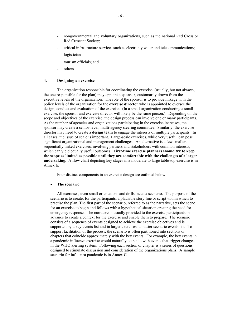- nongovernmental and voluntary organizations, such as the national Red Cross or Red Crescent Society;
- critical infrastructure services such as electricity water and telecommunications;
- logisticians;
- tourism officials; and
- others.

## **4. Designing an exercise**

 The organization responsible for coordinating the exercise, (usually, but not always, the one responsible for the plan) may appoint a **sponsor**, customarily drawn from the executive levels of the organization. The role of the sponsor is to provide linkage with the policy levels of the organization for the **exercise director** who is appointed to oversee the design, conduct and evaluation of the exercise. (In a small organization conducting a small exercise, the sponsor and exercise director will likely be the same person.). Depending on the scope and objectives of the exercise, the design process can involve one or many participants. As the number of agencies and organizations participating in the exercise increases, the sponsor may create a senior-level, multi-agency steering committee. Similarly, the exercise director may need to create a **design team** to engage the interests of multiple participants. In all cases, the issue of scale is important. Large-scale exercises, while very useful, can pose significant organizational and management challenges. An alternative is a few smaller, sequentially linked exercises, involving partners and stakeholders with common interests, which can yield equally useful outcomes. **First-time exercise planners should try to keep the scope as limited as possible until they are comfortable with the challenges of a larger undertaking.** A flow chart depicting key stages in a moderate to large table-top exercise is in Annex E.

Four distinct components in an exercise design are outlined below:

#### • **The scenario**

 All exercises, even small orientations and drills, need a scenario. The purpose of the scenario is to create, for the participants, a plausible story line or script within which to practise the plan. The first part of the scenario, referred to as the narrative, sets the scene for an exercise to begin and follows with a hypothetical situation creating the need for emergency response. The narrative is usually provided to the exercise participants in advance to create a context for the exercise and enable them to prepare. The scenario consists of a sequence of events designed to achieve the exercise objectives and is supported by a key events list and in larger exercises, a master scenario events list. To support facilitation of the process, the scenario is often partitioned into sections or chapters that coincide approximately with the key events. For example, the key events in a pandemic influenza exercise would naturally coincide with events that trigger changes in the WHO alerting system. Following each section or chapter is a series of questions, designed to stimulate discussion and consideration of the organizations plans. A sample scenario for influenza pandemic is in Annex C.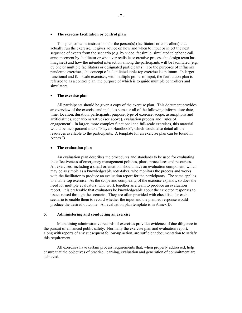#### • **The exercise facilitation or control plan**

 This plan contains instructions for the person(s) (facilitators or controllers) that actually run the exercise. It gives advice on how and when to input or inject the next sequence of events from the scenario (e.g. by video, facsimile, simulated telephone call, announcement by facilitator or whatever realistic or creative process the design team has imagined) and how the intended interaction among the participants will be facilitated (e.g. by one or multiple facilitators or designated participants). For the purposes of influenza pandemic exercises, the concept of a facilitated table-top exercise is optimum. In larger functional and full-scale exercises, with multiple points of input, the facilitation plan is referred to as a control plan, the purpose of which is to guide multiple controllers and simulators.

#### • **The exercise plan**

 All participants should be given a copy of the exercise plan. This document provides an overview of the exercise and includes some or all of the following information: date, time, location, duration, participants, purpose, type of exercise, scope, assumptions and artificialities, scenario narrative (see above), evaluation process and 'rules of engagement'. In larger, more complex functional and full-scale exercises, this material would be incorporated into a "Players Handbook", which would also detail all the resources available to the participants. A template for an exercise plan can be found in Annex B.

## • **The evaluation plan**

 An evaluation plan describes the procedures and standards to be used for evaluating the effectiveness of emergency management policies, plans, procedures and resources. All exercises, including a small orientation, should have an evaluation component, which may be as simple as a knowledgeable note-taker, who monitors the process and works with the facilitator to produce an evaluation report for the participants. The same applies to a table-top exercise. As the scope and complexity of the exercise expands, so does the need for multiple evaluators, who work together as a team to produce an evaluation report. It is preferable that evaluators be knowledgeable about the expected responses to issues raised through the scenario. They are often provided with checklists for each scenario to enable them to record whether the input and the planned response would produce the desired outcome. An evaluation plan template is in Annex D.

#### **5. Administering and conducting an exercise**

 Maintaining administrative records of exercises provides evidence of due diligence in the pursuit of enhanced public safety. Normally the exercise plan and evaluation report, along with reports of any subsequent follow-up action, are sufficient documentation to satisfy this requirement.

 All exercises have certain process requirements that, when properly addressed, help ensure that the objectives of practice, learning, evaluation and generation of commitment are achieved.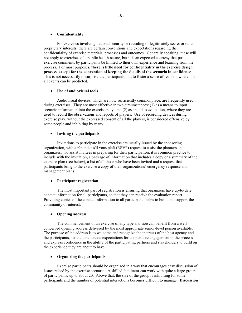#### • **Confidentiality**

 For exercises involving national security or revealing of legitimately secret or other proprietary interests, there are certain conventions and expectations regarding the confidentiality of exercise materials, processes and outcomes. Generally speaking, these will not apply to exercises of a public health nature, but it is an expected courtesy that postexercise comments by participants be limited to their own experience and learning from the process. For most purposes, **there is little need for confidentiality in the exercise design process, except for the convention of keeping the details of the scenario in confidence**. This is not necessarily to surprise the participants, but to foster a sense of realism, where not all events can be predicted.

#### • **Use of audiovisual tools**

 Audiovisual devices, which are now sufficiently commonplace, are frequently used during exercises. They are most effective in two circumstances: (1) as a means to input scenario information into the exercise play, and (2) as an aid to evaluation, where they are used to record the observations and reports of players. Use of recording devices during exercise play, without the expressed consent of all the players, is considered offensive by some people and inhibiting by many.

#### • **Inviting the participants**

 Invitations to participate in the exercise are usually issued by the sponsoring organization, with a répondez s'il vous plaît (RSVP) request to assist the planners and organizers. To assist invitees in preparing for their participation, it is common practice to include with the invitation, a package of information that includes a copy or a summary of the exercise plan (see below), a list of all those who have been invited and a request that participants bring to the exercise a copy of their organizations' emergency response and management plans.

## • **Participant registration**

 The most important part of registration is ensuring that organizers have up-to-date contact information for all participants, so that they can receive the evaluation report. Providing copies of the contact information to all participants helps to build and support the community of interest.

#### • **Opening address**

 The commencement of an exercise of any type and size can benefit from a wellconceived opening address delivered by the most appropriate senior-level person available. The purpose of the address is to welcome and recognize the interests of the host agency and the participants, set the tone, create expectations for cooperative engagement in the process and express confidence in the ability of the participating partners and stakeholders to build on the experience they are about to have.

## • **Organizing the participants**

 Exercise participants should be organized in a way that encourages easy discussion of issues raised by the exercise scenario. A skilled facilitator can work with quite a large group of participants, up to about 20. Above that, the size of the group is inhibiting for some participants and the number of potential interactions becomes difficult to manage. **Discussion**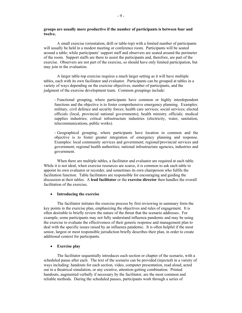## **groups are usually more productive if the number of participants is between four and twelve.**

 A small exercise (orientation, drill or table-top) with a limited number of participants will usually be held in a modest meeting or conference room. Participants will be seated around a table; while participants' support staff and observers are seated around the perimeter of the room. Support staffs are there to assist the participants and, therefore, are part of the exercise. Observers are not part of the exercise, so should have only limited participation, but may join in the evaluation.

 A larger table-top exercise requires a much larger setting as it will have multiple tables, each with its own facilitator and evaluator. Participants can be grouped at tables in a variety of ways depending on the exercise objectives, number of participants, and the judgment of the exercise development team. Common groupings include:

- Functional grouping, where participants have common or highly interdependent functions and the objective is to foster comprehensive emergency planning. Examples: military, civil defence and security forces; health care services; social services; elected officials (local, provincial national governments); health ministry officials; medical supplies industries; critical infrastructure industries (electricity, water, sanitation, telecommunications, public works).

- Geographical grouping, where participants have location in common and the objective is to foster greater integration of emergency planning and response. Examples: local community services and government; regional/provincial services and government; regional health authorities; national infrastructure agencies, industries and government.

 When there are multiple tables, a facilitator and evaluator are required at each table. While it is not ideal, when exercise resources are scarce, it is common to ask each table to appoint its own evaluator or recorder, and sometimes its own chairperson who fulfils the facilitation function. Table facilitators are responsible for encouraging and guiding the discussion at their tables. A **lead facilitator** or the **exercise director** then handles the overall facilitation of the exercise**.** 

#### • **Introducing the exercise**

 The facilitator initiates the exercise process by first reviewing in summary form the key points in the exercise plan, emphasizing the objectives and rules of engagement. It is often desirable to briefly review the nature of the threat that the scenario addresses. For example, some participants may not fully understand influenza pandemic and may be using the exercise to evaluate the effectiveness of their generic response and management plan to deal with the specific issues raised by an influenza pandemic. It is often helpful if the most senior, largest or most responsible jurisdiction briefly describes their plan, in order to create additional context for participants.

#### • **Exercise play**

 The facilitator sequentially introduces each section or chapter of the scenario, with a scheduled pause after each. The text of the scenario can be provided (injected) in a variety of ways including: handouts for each section, video, computer presentation, read aloud, acted out in a theatrical simulation, or any creative, attention-getting combination. Printed handouts, augmented verbally if necessary by the facilitator, are the most common and reliable methods. During the scheduled pauses, participants work through a series of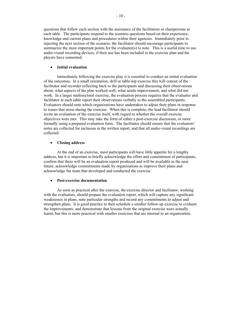questions that follow each section with the assistance of the facilitators or chairpersons at each table. The participants respond to the scenario questions based on their experience, knowledge and current plans and procedures within their agencies. Immediately prior to injecting the next section of the scenario, the facilitator should encourage participants to summarize the most important points for the evaluator(s) to note. This is a useful time to use audio-visual recording devices, if their use has been included in the exercise plan and the players have consented.

## • **Initial evaluation**

 Immediately following the exercise play it is essential to conduct an initial evaluation of the outcomes. In a small orientation, drill or table-top exercise this will consist of the facilitator and recorder reflecting back to the participants and discussing their observations about: what aspects of the plan worked well; what needs improvement; and what did not work. In a larger multisectoral exercise, the evaluation process requires that the evaluator and facilitator at each table report their observations verbally to the assembled participants. Evaluators should note which organizations have undertaken to adjust their plans in response to issues that arose during the exercise. When this is complete, the lead facilitator should invite an evaluation of the exercise itself, with regard to whether the overall exercise objectives were met. This may take the form of either a post-exercise discussion, or more formally using a prepared evaluation form. The facilitator should ensure that the evaluators' notes are collected for inclusion in the written report, and that all audio-visual recordings are collected.

#### • **Closing address**

 At the end of an exercise, most participants will have little appetite for a lengthy address, but it is important to briefly acknowledge the effort and commitment of participants, confirm that there will be an evaluation report produced and will be available in the near future, acknowledge commitments made by organizations to improve their plans and acknowledge the team that developed and conducted the exercise.

#### • **Post-exercise documentation**

 As soon as practical after the exercise, the exercise director and facilitator, working with the evaluators, should prepare the evaluation report, which will capture any significant weaknesses in plans, note particular strengths and record any commitments to adjust and strengthen plans. It is good practice to then schedule a smaller follow-up exercise to evaluate the improvements, and demonstrate that lessons from the original exercise were actually learnt, but this is more practical with smaller exercises that are internal to an organization.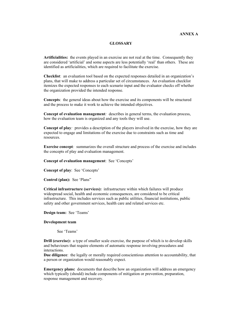## **ANNEX A**

## **GLOSSARY**

**Artificialities:** the events played in an exercise are not real at the time. Consequently they are considered 'artificial' and some aspects are less potentially 'real' than others. These are identified as artificialities, which are required to facilitate the exercise.

**Checklist**: an evaluation tool based on the expected responses detailed in an organization's plans, that will make to address a particular set of circumstances. An evaluation checklist itemizes the expected responses to each scenario input and the evaluator checks off whether the organization provided the intended response.

**Concepts**: the general ideas about how the exercise and its components will be structured and the process to make it work to achieve the intended objectives.

**Concept of evaluation management***:* describes in general terms, the evaluation process, how the evaluation team is organized and any tools they will use.

**Concept of play***:* provides a description of the players involved in the exercise, how they are expected to engage and limitations of the exercise due to constraints such as time and resources.

**Exercise concept***:* summarizes the overall structure and process of the exercise and includes the concepts of play and evaluation management.

**Concept of evaluation management**: See 'Concepts'

**Concept of play**: See 'Concepts'

**Control (plan):** See 'Plans"

**Critical infrastructure (services):** infrastructure within which failures will produce widespread social, health and economic consequences, are considered to be critical infrastructure. This includes services such as public utilities, financial institutions, public safety and other government services, health care and related services etc.

**Design team:** See 'Teams'

#### **Development team**

See 'Teams'

**Drill (exercise):** a type of smaller scale exercise, the purpose of which is to develop skills and behaviours that require elements of automatic response involving procedures and interactions.

**Due diligence**: the legally or morally required conscientious attention to accountability, that a person or organization would reasonably expect.

**Emergency plans:** documents that describe how an organization will address an emergency which typically (should) include components of mitigation or prevention, preparation, response management and recovery.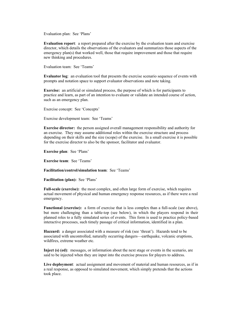Evaluation plan: See 'Plans'

**Evaluation report**: a report prepared after the exercise by the evaluation team and exercise director, which details the observations of the evaluators and summarizes those aspects of the emergency plan(s) that worked well, those that require improvement and those that require new thinking and procedures.

Evaluation team: See 'Teams'

**Evaluator log**: an evaluation tool that presents the exercise scenario sequence of events with prompts and notation space to support evaluator observations and note taking.

**Exercise:** an artificial or simulated process, the purpose of which is for participants to practice and learn, as part of an intention to evaluate or validate an intended course of action, such as an emergency plan.

Exercise concept: See 'Concepts'

Exercise development team: See 'Teams'

**Exercise director:** the person assigned overall management responsibility and authority for an exercise. They may assume additional roles within the exercise structure and process depending on their skills and the size (scope) of the exercise. In a small exercise it is possible for the exercise director to also be the sponsor, facilitator and evaluator.

**Exercise plan**: See 'Plans'

**Exercise team**: See 'Teams'

**Facilitation/control/simulation team**: See 'Teams'

**Facilitation (plan):** See 'Plans'

**Full-scale (exercise):** the most complex, and often large form of exercise, which requires actual movement of physical and human emergency response resources, as if there were a real emergency.

**Functional (exercise):** a form of exercise that is less complex than a full-scale (see above), but more challenging than a table-top (see below), in which the players respond in their planned roles to a fully simulated series of events. This form is used to practice policy-based interactive processes, such timely passage of critical information, identified in a plan.

**Hazzard:** a danger associated with a measure of risk (see 'threat'). Hazards tend to be associated with uncontrolled, naturally occurring dangers—earthquake, volcanic eruptions, wildfires, extreme weather etc.

**Inject (s) (ed)**: messages, or information about the next stage or events in the scenario, are said to be injected when they are input into the exercise process for players to address.

**Live deployment**: actual assignment and movement of material and human resources, as if in a real response, as opposed to simulated movement, which simply pretends that the actions took place.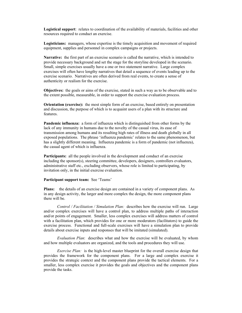**Logistical support**: relates to coordination of the availability of materials, facilities and other resources required to conduct an exercise.

**Logisticians:** managers, whose expertise is the timely acquisition and movement of required equipment, supplies and personnel in complex campaigns or projects.

**Narrative:** the first part of an exercise scenario is called the narrative, which is intended to provide necessary background and set the stage for the storyline developed in the scenario. Small, simple exercises usually have a one or two statement narrative. Large complex exercises will often have lengthy narratives that detail a sequence of events leading up to the exercise scenario. Narratives are often derived from real events, to create a sense of authenticity or realism for the exercise.

**Objectives:** the goals or aims of the exercise, stated in such a way as to be observable and to the extent possible, measurable, in order to support the exercise evaluation process.

**Orientation (exercise):** the most simple form of an exercise, based entirely on presentation and discussion, the purpose of which is to acquaint users of a plan with its structure and features.

**Pandemic influenza:** a form of influenza which is distinguished from other forms by the lack of any immunity in humans due to the novelty of the casual virus, its ease of transmission among humans and its resulting high rates of illness and death globally in all exposed populations. The phrase 'influenza pandemic' relates to the same phenomenon, but has a slightly different meaning. Influenza pandemic is a form of pandemic (not influenza), the casual agent of which is influenza.

**Participants:** all the people involved in the development and conduct of an exercise including the sponsor(s), steering committee, developers, designers, controllers evaluators, administrative staff etc., excluding observers, whose role is limited to participating, by invitation only, in the initial exercise evaluation.

## **Participant support team:** See 'Teams'

**Plans:** the details of an exercise design are contained in a variety of component plans. As in any design activity, the larger and more complex the design, the more component plans there will be.

*Control / Facilitation / Simulation Plan:* describes how the exercise will run. Large and/or complex exercises will have a control plan, to address multiple paths of interaction and/or points of engagement. Smaller, less complex exercises will address matters of control with a facilitation plan, which provides for one or more moderators (facilitators) to guide the exercise process. Functional and full-scale exercises will have a simulation plan to provide details about exercise inputs and responses that will be imitated (simulated).

 *Evaluation Plan*: describes what and how the exercise will be evaluated, by whom and how multiple evaluators are organized, and the tools and procedures they will use.

*Exercise Plan:* is the high-level master blueprint for the overall exercise design that provides the framework for the component plans. For a large and complex exercise it provides the strategic context and the component plans provide the tactical elements. For a smaller, less complex exercise it provides the goals and objectives and the component plans provide the tasks.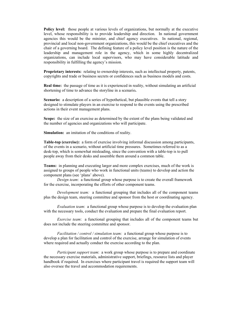**Policy level:** those people at various levels of organizations, but normally at the executive level, whose responsibility is to provide leadership and direction. In national government agencies this would be the minister, and chief agency executives. In national, regional, provincial and local non-government organizations, this would be the chief executives and the chair of a governing board. The defining feature of a policy level position is the nature of the leadership and management role in the agency, which in some highly decentralized organizations, can include local supervisors, who may have considerable latitude and responsibility in fulfilling the agency's mission.

**Proprietary interests:** relating to ownership interests, such as intellectual property, patents, copyrights and trade or business secrets or confidences such as business models and costs.

**Real time:** the passage of time as it is experienced in reality, without simulating an artificial shortening of time to advance the storyline in a scenario**.**

**Scenario:** a description of a series of hypothetical, but plausible events that tell a story designed to stimulate players in an exercise to respond to the events using the prescribed actions in their event management plans.

**Scope:** the size of an exercise as determined by the extent of the plans being validated and the number of agencies and organizations who will participate.

Simulation: an imitation of the conditions of reality.

**Table-top (exercise):** a form of exercise involving informal discussion among participants, of the events in a scenario, without artificial time pressures. Sometimes referred to as a desk-top, which is somewhat misleading, since the convention with a table-top is to pull people away from their desks and assemble them around a common table.

**Teams:** in planning and executing larger and more complex exercises, much of the work is assigned to groups of people who work in functional units (teams) to develop and action the component plans (see 'plans' above).

*Design team*: a functional group whose purpose is to create the overall framework for the exercise, incorporating the efforts of other component teams.

 *Development team:* a functional grouping that includes all of the component teams plus the design team, steering committee and sponsor from the host or coordinating agency.

 *Evaluation team*: a functional group whose purpose is to develop the evaluation plan with the necessary tools, conduct the evaluation and prepare the final evaluation report.

 *Exercise team*: a functional grouping that includes all of the component teams but does not include the steering committee and sponsor.

 *Facilitation / control / simulation team:* a functional group whose purpose is to develop a plan for facilitation and control of the exercise, arrange for simulation of events where required and actually conduct the exercise according to the plan.

 *Participant support team*: a work group whose purpose is to prepare and coordinate the necessary exercise materials, administrative support, briefings, resource lists and player handbook if required. In exercises where participant travel is required the support team will also oversee the travel and accommodation requirements.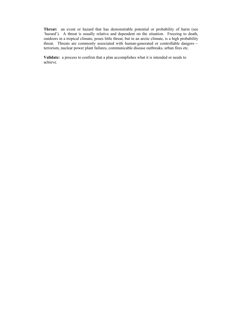**Threat:** an event or hazard that has demonstrable potential or probability of harm (see 'hazard'). A threat is usually relative and dependent on the situation. Freezing to death, outdoors in a tropical climate, poses little threat, but in an arctic climate, is a high probability threat. Threats are commonly associated with human-generated or controllable dangers terrorism, nuclear power plant failures, communicable disease outbreaks, urban fires etc.

**Validate:** a process to confirm that a plan accomplishes what it is intended or needs to achieve.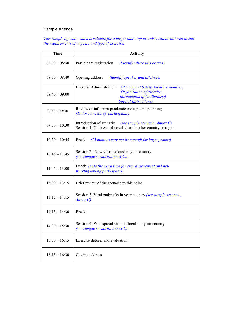# Sample Agenda

## *This sample agenda, which is suitable for a larger table-top exercise, can be tailored to suit the requirements of any size and type of exercise.*

| <b>Time</b>     | <b>Activity</b>                                                                                                                                                            |
|-----------------|----------------------------------------------------------------------------------------------------------------------------------------------------------------------------|
| $08:00 - 08:30$ | Participant registration<br>(Identify where this occurs)                                                                                                                   |
| $08:30 - 08:40$ | Opening address<br>(Identify speaker and title/role)                                                                                                                       |
| $08:40 - 09:00$ | <b>Exercise Administration</b><br>(Participant Safety, facility amenities,<br>Organization of exercise,<br>Introduction of facilitator(s)<br><b>Special Instructions</b> ) |
| $9:00 - 09:30$  | Review of influenza pandemic concept and planning<br>(Tailor to needs of participants)                                                                                     |
| $09:30 - 10:30$ | Introduction of scenario (see sample scenario, Annex C)<br>Session 1: Outbreak of novel virus in other country or region.                                                  |
| $10:30 - 10:45$ | (15 minutes may not be enough for large groups)<br><b>Break</b>                                                                                                            |
| $10:45 - 11:45$ | Session 2: New virus isolated in your country<br>(see sample scenario, Annex C.)                                                                                           |
| $11:45 - 13:00$ | Lunch (note the extra time for crowd movement and net-<br>working among participants)                                                                                      |
| $13:00 - 13:15$ | Brief review of the scenario to this point                                                                                                                                 |
| $13:15 - 14:15$ | Session 3: Viral outbreaks in your country (see sample scenario,<br>Annex C)                                                                                               |
| $14:15 - 14:30$ | <b>Break</b>                                                                                                                                                               |
| $14:30 - 15:30$ | Session 4: Widespread viral outbreaks in your country<br>(see sample scenario, Annex C)                                                                                    |
| $15:30 - 16:15$ | Exercise debrief and evaluation                                                                                                                                            |
| $16:15 - 16:30$ | Closing address                                                                                                                                                            |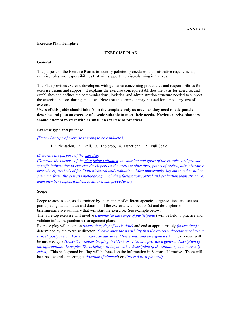## **Exercise Plan Template**

## **EXERCISE PLAN**

#### **General**

The purpose of the Exercise Plan is to identify policies, procedures, administrative requirements, exercise roles and responsibilities that will support exercise-planning initiatives.

The Plan provides exercise developers with guidance concerning procedures and responsibilities for exercise design and support. It explains the exercise concept, establishes the basis for exercise, and establishes and defines the communications, logistics, and administration structure needed to support the exercise, before, during and after. Note that this template may be used for almost any size of exercise.

**Users of this guide should take from the template only as much as they need to adequately describe and plan an exercise of a scale suitable to meet their needs. Novice exercise planners should attempt to start with as small an exercise as practical.** 

## **Exercise type and purpose**

## *(State what type of exercise is going to be conducted)*

1. Orientation, 2. Drill, 3. Tabletop, 4. Functional, 5. Full Scale

#### *(Describe the purpose of the exercise)*

*(Describe the purpose of the plan being validated, the mission and goals of the exercise and provide specific information to exercise developers on the exercise objectives, points of review, administrative procedures, methods of facilitation/control and evaluation. Most importantly, lay out in either full or summary form, the exercise methodology including facilitation/control and evaluation team structure, team member responsibilities, locations, and procedures.)* 

#### **Scope**

Scope relates to size, as determined by the number of different agencies, organizations and sectors participating, actual dates and duration of the exercise with location(s) and description of briefing/narrative summary that will start the exercise. See example below.

The table-top exercise will involve *(summarize the range of participants*) will be held to practice and validate influenza pandemic management plans.

Exercise play will begin on *(insert time, day of week, date)* and end at approximately *(insert time)* as determined by the exercise director. *(Leave open the possibility that the exercise director may have to cancel, postpone or shorten an exercise due to real live events and emergencies ).* The exercise will be initiated by a *(Describe whether briefing, incident, or video and provide a general description of the information. Example: The briefing will begin with a description of the situation, as it currently exists).* This background briefing will be based on the information in Scenario Narrative. There will be a post-exercise meeting at *(location if planned)* on *(insert date if planned)*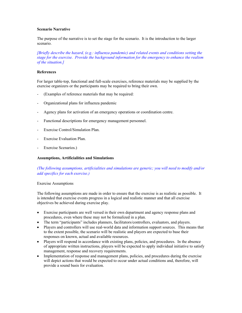## **Scenario Narrative**

The purpose of the narrative is to set the stage for the scenario. It is the introduction to the larger scenario.

*[Briefly describe the hazard, (e.g.: influenza pandemic) and related events and conditions setting the stage for the exercise. Provide the background information for the emergency to enhance the realism of the situation.]* 

# **References**

For larger table-top, functional and full-scale exercises, reference materials may be supplied by the exercise organizers or the participants may be required to bring their own.

- (Examples of reference materials that may be required:
- Organizational plans for influenza pandemic
- Agency plans for activation of an emergency operations or coordination centre.
- Functional descriptions for emergency management personnel.
- Exercise Control/Simulation Plan.
- Exercise Evaluation Plan.
- Exercise Scenarios.)

## **Assumptions, Artificialities and Simulations**

# *(The following assumptions, artificialities and simulations are generic; you will need to modify and/or add specifics for each exercise.)*

## Exercise Assumptions

The following assumptions are made in order to ensure that the exercise is as realistic as possible. It is intended that exercise events progress in a logical and realistic manner and that all exercise objectives be achieved during exercise play.

- Exercise participants are well versed in their own department and agency response plans and procedures, even where these may not be formalized in a plan.
- The term "participants" includes planners, facilitators/controllers, evaluators, and players.
- Players and controllers will use real-world data and information support sources. This means that to the extent possible, the scenario will be realistic and players are expected to base their responses on known, actual and available resources.
- Players will respond in accordance with existing plans, policies, and procedures. In the absence of appropriate written instructions, players will be expected to apply individual initiative to satisfy management, response and recovery requirements.
- Implementation of response and management plans, policies, and procedures during the exercise will depict actions that would be expected to occur under actual conditions and, therefore, will provide a sound basis for evaluation.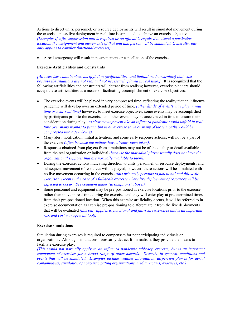Actions to direct units, personnel, or resource deployments will result in simulated movement during the exercise unless live deployment in real time is stipulated to achieve an exercise objective. *(Example: If a fire suppression unit is required or an official is required to attend a particular location, the assignment and movements of that unit and person will be simulated. Generally, this only applies to complex functional exercises).*

• A real emergency will result in postponement or cancellation of the exercise.

## **Exercise Artificialities and Constraints**

*[All exercises contain elements of fiction (artificialities) and limitations (constraints) that exist because the situations are not real and not necessarily played in real time.].* It is recognized that the following artificialities and constraints will detract from realism; however, exercise planners should accept these artificialities as a means of facilitating accomplishment of exercise objectives.

- The exercise events will be played in very compressed time, reflecting the reality that an influenza pandemic will develop over an extended period of time, *(other kinds of events may play in real time or near real time)* however, to meet exercise objectives, some events may be accomplished by participants prior to the exercise, and other events may be accelerated in time to ensure their consideration during play. *(a slow moving event like an influenza pandemic would unfold in real time over many months to years, but in an exercise some or many of those months would be compressed into a few hours).*
- Many alert, notification, initial activation, and some early response actions, will not be a part of the exercise *(often because the actions have already been taken).*
- Responses obtained from players from simulations may not be of the quality or detail available from the real organization or individual *(because the individual player usually does not have the organizational supports that are normally available to them).*
- During the exercise, actions indicating direction to units, personnel, or resource deployments, and subsequent movement of resources will be played; however, these actions will be simulated with no live movement occurring in the exercise *(this primarily pertains to functional and full-scale exercises, except in the case of a full-scale exercise where live deployment of resources will be expected to occur . See comment under 'assumptions' above.).*
- Some personnel and equipment may be pre-positioned at exercise locations prior to the exercise rather than move in real-time during the exercise, and they will enter play at predetermined times from their pre-positioned location. When this exercise artificiality occurs, it will be referred to in exercise documentation as exercise pre-positioning to differentiate it from the live deployments that will be evaluated *(this only applies to functional and full-scale exercises and is an important risk and cost management tool).*

## **Exercise simulations**

Simulation during exercises is required to compensate for nonparticipating individuals or organizations. Although simulations necessarily detract from realism, they provide the means to facilitate exercise play.

*(This would not normally apply to an influenza pandemic table-top exercise, but is an important component of exercises for a broad range of other hazards. Describe in general, conditions and events that will be simulated. Examples include weather information, dispersion plumes for aerial contaminants, simulation of nonparticipating organizations, media, victims, evacuees, etc.)*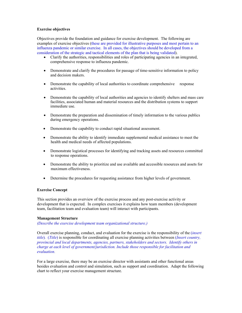## **Exercise objectives**

Objectives provide the foundation and guidance for exercise development. The following are examples of exercise objectives (these are provided for illustrative purposes and most pertain to an influenza pandemic or similar exercise. In all cases, the objectives should be developed from a consideration of the strategic and tactical elements of the plan that is being validated).

- Clarify the authorities, responsibilities and roles of participating agencies in an integrated, comprehensive response to influenza pandemic.
- Demonstrate and clarify the procedures for passage of time-sensitive information to policy and decision makers.
- Demonstrate the capability of local authorities to coordinate comprehensive response activities.
- Demonstrate the capability of local authorities and agencies to identify shelters and mass care facilities, associated human and material resources and the distribution systems to support immediate use.
- Demonstrate the preparation and dissemination of timely information to the various publics during emergency operations.
- Demonstrate the capability to conduct rapid situational assessment.
- Demonstrate the ability to identify immediate supplemental medical assistance to meet the health and medical needs of affected populations.
- Demonstrate logistical processes for identifying and tracking assets and resources committed to response operations.
- Demonstrate the ability to prioritize and use available and accessible resources and assets for maximum effectiveness.
- Determine the procedures for requesting assistance from higher levels of government.

## **Exercise Concept**

This section provides an overview of the exercise process and any post-exercise activity or development that is expected. In complex exercises it explains how team members (development team, facilitation team and evaluation team) will interact with participants.

## **Management Structure**

*(Describe the exercise development team organizational structure.)* 

Overall exercise planning, conduct, and evaluation for the exercise is the responsibility of the (*insert title*)*.* (*Title*) is responsible for coordinating all exercise planning activities between (*Insert country, provincial and local departments, agencies, partners, stakeholders and sectors. Identify others in charge at each level of government/jurisdiction. Include those responsible for facilitation and evaluation.* 

For a large exercise, there may be an exercise director with assistants and other functional areas besides evaluation and control and simulation, such as support and coordination. Adapt the following chart to reflect your exercise management structure.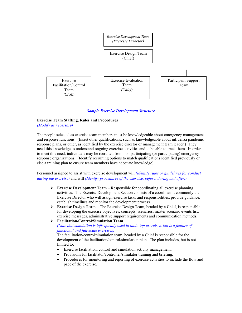

*Sample Exercise Development Structure* 

## **Exercise Team Staffing, Rules and Procedures**

*(Modify as necessary)* 

The people selected as exercise team members must be knowledgeable about emergency management and response functions. (Insert other qualifications, such as knowledgeable about influenza pandemic response plans, or other, as identified by the exercise director or management team leader.) They need this knowledge to understand ongoing exercise activities and to be able to track them. In order to meet this need, individuals may be recruited from non participating (or participating) emergency response organizations. (Identify recruiting options to match qualifications identified previously or else a training plan to ensure team members have adequate knowledge).

Personnel assigned to assist with exercise development will *(Identify rules or guidelines for conduct during the exercise)* and will *(Identify procedures of the exercise, before, during and after.).* 

- $\triangleright$  **Exercise Development Team** Responsible for coordinating all exercise planning activities. The Exercise Development Section consists of a coordinator, commonly the Exercise Director who will assign exercise tasks and responsibilities, provide guidance, establish timelines and monitor the development process.
- ¾ **Exercise Design Team** The Exercise Design Team, headed by a Chief, is responsible for developing the exercise objectives, concepts, scenarios, master scenario events list, exercise messages, administrative support requirements and communication methods.

¾ **Facilitation/Control/Simulation Team** *(Note that simulation is infrequently used in table-top exercises, but is a feature of functional and full-scale exercises)* 

The facilitation/control/simulation team, headed by a Chief is responsible for the development of the facilitation/control/simulation plan. The plan includes, but is not limited to:

- Exercise facilitation, control and simulation activity management.
- Provisions for facilitator/controller/simulator training and briefing.
- Procedures for monitoring and reporting of exercise activities to include the flow and pace of the exercise.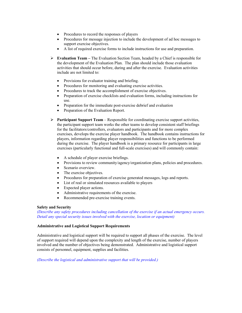- Procedures to record the responses of players
- Procedures for message injection to include the development of ad hoc messages to support exercise objectives.
- A list of required exercise forms to include instructions for use and preparation.
- ¾ **Evaluation Team** The Evaluation Section Team, headed by a Chief is responsible for the development of the Evaluation Plan. The plan should include those evaluation activities that should occur before, during and after the exercise. Evaluation activities include are not limited to:
	- Provisions for evaluator training and briefing.
	- Procedures for monitoring and evaluating exercise activities.
	- Procedures to track the accomplishment of exercise objectives.
	- Preparation of exercise checklists and evaluation forms, including instructions for use.
	- Preparation for the immediate post-exercise debrief and evaluation
	- Preparation of the Evaluation Report.
- $\triangleright$  **Participant Support Team** Responsible for coordinating exercise support activities, the participant support team works the other teams to develop consistent staff briefings for the facilitators/controllers, evaluators and participants and for more complex exercises, develops the exercise player handbook. The handbook contains instructions for players, information regarding player responsibilities and functions to be performed during the exercise. The player handbook is a primary resource for participants in large exercises (particularly functional and full-scale exercises) and will commonly contain:
	- A schedule of player exercise briefings.
	- Provisions to review community/agency/organization plans, policies and procedures.
	- Scenario overview.
	- The exercise objectives.
	- Procedures for preparation of exercise generated messages, logs and reports.
	- List of real or simulated resources available to players
	- Expected player actions.
	- Administrative requirements of the exercise.
	- Recommended pre-exercise training events.

## **Safety and Security**

*(Describe any safety procedures including cancellation of the exercise if an actual emergency occurs. Detail any special security issues involved with the exercise, location or equipment)* 

## **Administrative and Logistical Support Requirements**

Administrative and logistical support will be required to support all phases of the exercise. The level of support required will depend upon the complexity and length of the exercise, number of players involved and the number of objectives being demonstrated. Administrative and logistical support consists of personnel, equipment, supplies and facilities.

*(Describe the logistical and administrative support that will be provided.)*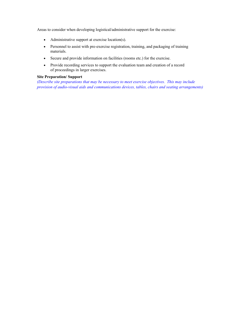Areas to consider when developing logistical/administrative support for the exercise:

- Administrative support at exercise location(s).
- Personnel to assist with pre-exercise registration, training, and packaging of training materials.
- Secure and provide information on facilities (rooms etc.) for the exercise.
- Provide recording services to support the evaluation team and creation of a record of proceedings in larger exercises.

# **Site Preparation/ Support**

*(Describe site preparations that may be necessary to meet exercise objectives. This may include provision of audio-visual aids and communications devices, tables, chairs and seating arrangements)*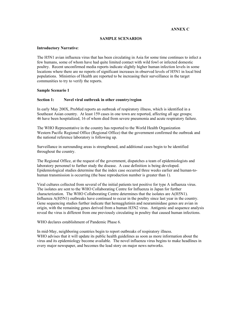## **ANNEX C**

## **SAMPLE SCENARIOS**

## **Introductory Narrative**:

The H5N1 avian influenza virus that has been circulating in Asia for some time continues to infect a few humans, some of whom have had quite limited contact with wild fowl or infected domestic poultry. Recent unconfirmed media reports indicate slightly higher human infection levels in some locations where there are no reports of significant increases in observed levels of H5N1 in local bird populations. Ministries of Health are reported to be increasing their surveillance in the target communities to try to verify the reports.

## **Sample Scenario 1**

## **Section 1: Novel viral outbreak in other country/region**

In early May 200X, ProMed reports an outbreak of respiratory illness, which is identified in a Southeast Asian country. At least 159 cases in one town are reported, affecting all age groups; 46 have been hospitalized, 16 of whom died from severe pneumonia and acute respiratory failure.

The WHO Representative in the country has reported to the World Health Organization Western Pacific Regional Office (Regional Office) that the government confirmed the outbreak and the national reference laboratory is following up.

Surveillance in surrounding areas is strengthened, and additional cases begin to be identified throughout the country.

The Regional Office, at the request of the government, dispatches a team of epidemiologists and laboratory personnel to further study the disease. A case definition is being developed. Epidemiological studies determine that the index case occurred three weeks earlier and human-tohuman transmission is occurring (the base reproduction number is greater than 1).

Viral cultures collected from several of the initial patients test positive for type A influenza virus. The isolates are sent to the WHO Collaborating Centre for Influenza in Japan for further characterization. The WHO Collaborating Centre determines that the isolates are A(H5N1). Influenza A(H5N1) outbreaks have continued to occur in the poultry since last year in the country. Gene sequencing studies further indicate that hemagglutinin and neuraminidase genes are avian in origin, with the remaining genes derived from a human H3N2 virus. Antigenic and sequence analysis reveal the virus is different from one previously circulating in poultry that caused human infections.

WHO declares establishment of Pandemic Phase 6.

In mid-May, neighboring countries begin to report outbreaks of respiratory illness. WHO advises that it will update its public health guidelines as soon as more information about the virus and its epidemiology become available. The novel influenza virus begins to make headlines in every major newspaper, and becomes the lead story on major news networks.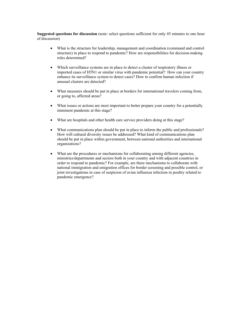- What is the structure for leadership, management and coordination (command and control structure) in place to respond to pandemic? How are responsibilities for decision-making roles determined?
- Which surveillance systems are in place to detect a cluster of respiratory illness or imported cases of H5N1 or similar virus with pandemic potential? How can your country enhance its surveillance system to detect cases? How to confirm human infection if unusual clusters are detected?
- What measures should be put in place at borders for international travelers coming from, or going to, affected areas?
- What issues or actions are most important to better prepare your country for a potentially imminent pandemic at this stage?
- What are hospitals and other health care service providers doing at this stage?
- What communications plan should be put in place to inform the public and professionals? How will cultural diversity issues be addressed? What kind of communications plan should be put in place within government, between national authorities and international organizations?
- What are the procedures or mechanisms for collaborating among different agencies, ministries/departments and sectors both in your country and with adjacent countries in order to respond to pandemic? For example, are there mechanisms to collaborate with national immigration and emigration offices for border screening and possible control, or joint investigations in case of suspicion of avian influenza infection in poultry related to pandemic emergence?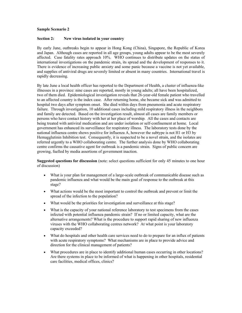## **Sample Scenario 2**

## **Section 2: New virus isolated in your country**

By early June, outbreaks begin to appear in Hong Kong (China), Singapore, the Republic of Korea and Japan. Although cases are reported in all age groups, young adults appear to be the most severely affected. Case fatality rates approach 10%. WHO continues to distribute updates on the status of international investigations on the pandemic strain, its spread and the development of responses to it. There is evidence of increasing public anxiety and some panic because a vaccine is not yet available, and supplies of antiviral drugs are severely limited or absent in many countries. International travel is rapidly decreasing.

By late June a local health officer has reported to the Department of Health, a cluster of influenza-like illnesses in a province: nine cases are reported, mostly in young adults; all have been hospitalized, two of them died. Epidemiological investigation reveals that 26-year-old female patient who travelled to an affected country is the index case. After returning home, she became sick and was admitted to hospital two days after symptom onset. She died within days from pneumonia and acute respiratory failure. Through investigation, 10 additional cases including mild respiratory illness in the neighbors and family are detected. Based on the investigation result, almost all cases are family members or persons who have contact history with her at her place of worship. All the cases and contacts are being treated with antiviral medication and are under isolation or self-confinement at home. Local government has enhanced its surveillance for respiratory illness. The laboratory tests done by the national influenza centre shows positive for influenza A, however the subtype is not H1 or H3 by Hemagglutinin Inhibition test. Consequently, it is suspected to be a novel strain, and the isolates are referred urgently to a WHO collaborating centre. The further analysis done by WHO collaborating centre confirms the causative agent for outbreak is a pandemic strain. Signs of public concern are growing, fuelled by media assertions of government inaction.

- What is your plan for management of a large-scale outbreak of communicable disease such as pandemic influenza and what would be the main goal of response to the outbreak at this stage?
- What actions would be the most important to control the outbreak and prevent or limit the spread of the infection to the population?
- What would be the priorities for investigation and surveillance at this stage?
- What is the capacity of your national reference laboratory to test specimens from the cases infected with potential influenza pandemic strain? If no or limited capacity, what are the alternative arrangements? What is the procedure to support rapid sharing of new influenza viruses with the WHO collaborating centres network? At what point is your laboratory capacity exceeded?
- What do hospitals and other health care services need to do to prepare for an influx of patients with acute respiratory symptoms? What mechanisms are in place to provide advice and direction for the clinical management of patients?
- What procedures are in place to identify additional human cases occurring in other locations? Are there systems in place to be informed of what is happening in other hospitals, residential care facilities, medical offices, clinics?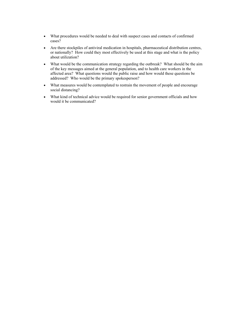- What procedures would be needed to deal with suspect cases and contacts of confirmed cases?
- Are there stockpiles of antiviral medication in hospitals, pharmaceutical distribution centres, or nationally? How could they most effectively be used at this stage and what is the policy about utilization?
- What would be the communication strategy regarding the outbreak? What should be the aim of the key messages aimed at the general population, and to health care workers in the affected area? What questions would the public raise and how would these questions be addressed? Who would be the primary spokesperson?
- What measures would be contemplated to restrain the movement of people and encourage social distancing?
- What kind of technical advice would be required for senior government officials and how would it be communicated?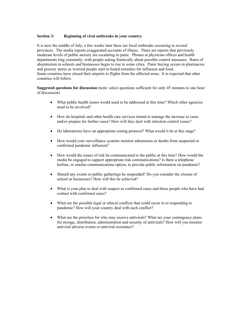## **Section 3: Beginning of viral outbreaks in your country**

It is now the middle of July, a few weeks later there are focal outbreaks occurring in several provinces. The media reports exaggerated accounts of illness. There are reports that previously moderate levels of public anxiety are escalating to panic. Phones at physician offices and health departments ring constantly, with people asking frantically about possible control measures. Rates of absenteeism in schools and businesses begin to rise in some cities. Panic buying occurs in pharmacies and grocery stores as worried people start to hoard remedies for influenza and food. Some countries have closed their airports to flights from the affected areas. It is expected that other countries will follow.

- What public health issues would need to be addressed at this time? Which other agencies need to be involved?
- How do hospitals and other health care services intend to manage the increase in cases and/or prepare for further cases? How will they deal with infection control issues?
- Do laboratories have an appropriate testing protocol? What would it be at this stage?
- How would your surveillance systems monitor admissions or deaths from suspected or confirmed pandemic influenza?
- How would the issues of risk be communicated to the public at this time? How would the media be engaged to support appropriate risk communications? Is there a telephone hotline, or similar communications option, to provide public information on pandemic?
- Should any events or public gatherings be suspended? Do you consider the closure of school or businesses? How will this be achieved?
- What is your plan to deal with suspect or confirmed cases and those people who have had contact with confirmed cases?
- What are the possible legal or ethical conflicts that could occur in to responding to pandemic? How will your country deal with such conflict?
- What are the priorities for who may receive antivirals? What are your contingency plans for storage, distribution, administration and security of antivirals? How will you monitor antiviral adverse events or antiviral resistance?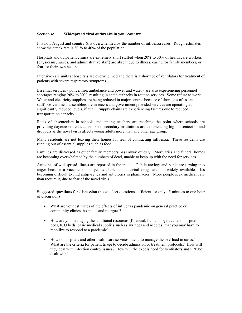## **Section 4: Widespread viral outbreaks in your country**

It is now August and country X is overwhelmed by the number of influenza cases. Rough estimates show the attack rate is 30 % to 40% of the population.

Hospitals and outpatient clinics are extremely short staffed when 20% to 30% of health care workers (physicians, nurses, and administrative staff) are absent due to illness, caring for family members, or fear for their own health.

Intensive care units at hospitals are overwhelmed and there is a shortage of ventilators for treatment of patients with severe respiratory symptoms.

Essential services - police, fire, ambulance and power and water - are also experiencing personnel shortages ranging 20% to 30%, resulting in some cutbacks in routine services. Some refuse to work. Water and electricity supplies are being reduced in major centres because of shortages of essential staff. Government assemblies are in recess and government provided services are operating at significantly reduced levels, if at all. Supply chains are experiencing failures due to reduced transportation capacity.

Rates of absenteeism in schools and among teachers are reaching the point where schools are providing daycare not education. Post-secondary institutions are experiencing high absenteeism and dropouts as the novel virus affects young adults more than any other age group.

Many residents are not leaving their homes for fear of contracting influenza. These residents are running out of essential supplies such as food.

Families are distressed as other family members pass away quickly. Mortuaries and funeral homes are becoming overwhelmed by the numbers of dead, unable to keep up with the need for services.

Accounts of widespread illness are reported in the media. Public anxiety and panic are turning into anger because a vaccine is not yet available and antiviral drugs are not widely available. It's becoming difficult to find antipyretics and antibiotics in pharmacies. More people seek medical care than require it, due to fear of the novel virus.

- What are your estimates of the effects of influenza pandemic on general practice or community clinics, hospitals and morgues?
- How are you managing the additional resources (financial, human, logistical and hospital beds, ICU beds, basic medical supplies such as syringes and needles) that you may have to mobilize to respond to a pandemic?
- How do hospitals and other health care services intend to manage the overload in cases? What are the criteria for patient triage to decide admission or treatment protocols? How will they deal with infection control issues? How will the excess need for ventilators and PPE be dealt with?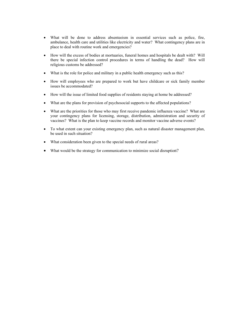- What will be done to address absenteeism in essential services such as police, fire, ambulance, health care and utilities like electricity and water? What contingency plans are in place to deal with routine work and emergencies?
- How will the excess of bodies at mortuaries, funeral homes and hospitals be dealt with? Will there be special infection control procedures in terms of handling the dead? How will religious customs be addressed?
- What is the role for police and military in a public health emergency such as this?
- How will employees who are prepared to work but have childcare or sick family member issues be accommodated?
- How will the issue of limited food supplies of residents staying at home be addressed?
- What are the plans for provision of psychosocial supports to the affected populations?
- What are the priorities for those who may first receive pandemic influenza vaccine? What are your contingency plans for licensing, storage, distribution, administration and security of vaccines? What is the plan to keep vaccine records and monitor vaccine adverse events?
- To what extent can your existing emergency plan, such as natural disaster management plan, be used in such situation?
- What consideration been given to the special needs of rural areas?
- What would be the strategy for communication to minimize social disruption?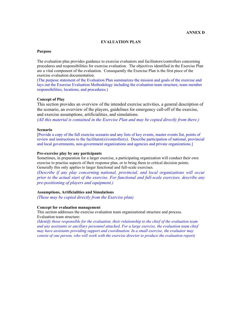#### **EVALUATION PLAN**

#### **Purpose**

The evaluation plan provides guidance to exercise evaluators and facilitators/controllers concerning procedures and responsibilities for exercise evaluation. The objectives identified in the Exercise Plan are a vital component of the evaluation. Consequently the Exercise Plan is the first piece of the exercise evaluation documentation.

(The purpose statement of the Evaluation Plan summarizes the mission and goals of the exercise and lays out the Exercise Evaluation Methodology including the evaluation team structure, team member responsibilities, locations, and procedures.)

#### **Concept of Play**

This section provides an overview of the intended exercise activities, a general description of the scenario, an overview of the players, guidelines for emergency call-off of the exercise, and exercise assumptions, artificialities, and simulations.

*(All this material is contained in the Exercise Plan and may be copied directly from there.)* 

## **Scenario**

[Provide a copy of the full exercise scenario and any lists of key events, master events list, points of review and instructions to the facilitator(s)/controller(s). Describe participation of national, provincial and local governments, non-government organizations and agencies and private organizations.]

#### **Pre-exercise play by any participants**

Sometimes, in preparation for a larger exercise, a participating organization will conduct their own exercise to practise aspects of their response plan, or to bring them to critical decision points. Generally this only applies to larger functional and full-scale exercises.

*(Describe if any play concerning national, provincial, and local organizations will occur prior to the actual start of the exercise. For functional and full-scale exercises, describe any pre-positioning of players and equipment.)* 

## **Assumptions, Artificialities and Simulations**

*(These may be copied directly from the Exercise plan)* 

#### **Concept for evaluation management**

This section addresses the exercise evaluation team organizational structure and process. Evaluation team structure:

*(Identify those responsible for the evaluation, their relationship to the chief of the evaluation team and any assistants or ancillary personnel attached. For a large exercise, the evaluation team chief may have assistants providing support and coordination. In a small exercise, the evaluator may consist of one person, who will work with the exercise director to produce the evaluation report)*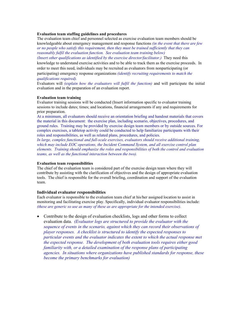## **Evaluation team staffing guidelines and procedures**

The evaluation team chief and personnel selected as exercise evaluation team members should be knowledgeable about emergency management and response functions *(in the event that there are few or no people who satisfy this requirement, then they must be trained sufficiently that they can reasonably fulfil the evaluation function. See evaluation team training below)* 

*(Insert other qualifications as identified by the exercise director/facilitator.)* They need this knowledge to understand exercise activities and to be able to track them as the exercise proceeds. In order to meet this need, individuals may be recruited as evaluators from nonparticipating (or participating) emergency response organizations *(identify recruiting requirements to match the* 

# *qualifications required).*

Evaluators will *(explain how the evaluators will fulfil the function)* and will participate the initial evaluation and in the preparation of an evaluation report.

## **Evaluation team training**

Evaluator training sessions will be conducted (Insert information specific to evaluator training sessions to include dates; times; and locations, financial arrangements if any and requirements for prior preparation.

At a minimum, all evaluators should receive an orientation briefing and handout materials that covers the material in this document: the exercise plan, including scenario, objectives, procedures, and ground rules. Training may be provided by exercise design team members or by outside sources. For complex exercises, a tabletop activity could be conducted to help familiarize participants with their roles and responsibilities, as well as related plans, procedures, and policies.

*In large, complex functional and full-scale exercises, evaluators should receive additional training, which may include EOC operations, the Incident Command System, and all exercise control plan elements. Training should emphasize the roles and responsibilities of both the control and evaluation teams, as well as the functional interaction between the two).* 

## **Evaluation team responsibilities**

The chief of the evaluation team is considered part of the exercise design team where they will contribute by assisting with the clarification of objectives and the design of appropriate evaluation tools. The chief is responsible for the overall briefing, coordination and support of the evaluation team.

## **Individual evaluator responsibilities**

Each evaluator is responsible to the evaluation team chief at his/her assigned location to assist in monitoring and facilitating exercise play. Specifically, individual evaluator responsibilities include: *(these are generic so use as many of these as are appropriate for the intended exercise).* 

• Contribute to the design of evaluation checklists, logs and other forms to collect evaluation data. *(Evaluator logs are structured to provide the evaluator with the sequence of events in the scenario, against which they can record their observations of player responses. A checklist is structured to identify the expected responses to particular events and the evaluator indicates the extent to which the actual response met the expected response. The development of both evaluation tools requires either good familiarity with, or a detailed examination of the response plans of participating agencies. In situations where organizations have published standards for response, these become the primary benchmarks for evaluation)*